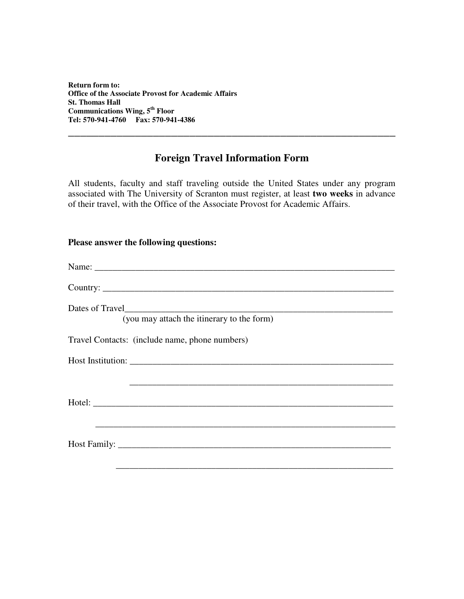**Return form to: Office of the Associate Provost for Academic Affairs St. Thomas Hall Communications Wing, 5 th Floor Tel: 570-941-4760 Fax: 570-941-4386**

## **Foreign Travel Information Form**

**\_\_\_\_\_\_\_\_\_\_\_\_\_\_\_\_\_\_\_\_\_\_\_\_\_\_\_\_\_\_\_\_\_\_\_\_\_\_\_\_\_\_\_\_\_\_\_\_\_\_\_\_\_\_**

All students, faculty and staff traveling outside the United States under any program associated with The University of Scranton must register, at least **two weeks** in advance of their travel, with the Office of the Associate Provost for Academic Affairs.

## **Please answer the following questions:**

| Country:                                                   |
|------------------------------------------------------------|
| Dates of Travel                                            |
| (you may attach the itinerary to the form)                 |
| Travel Contacts: (include name, phone numbers)             |
|                                                            |
|                                                            |
|                                                            |
| <u> 1989 - Jan Barbara, martxa al Indonesia (h. 1989).</u> |